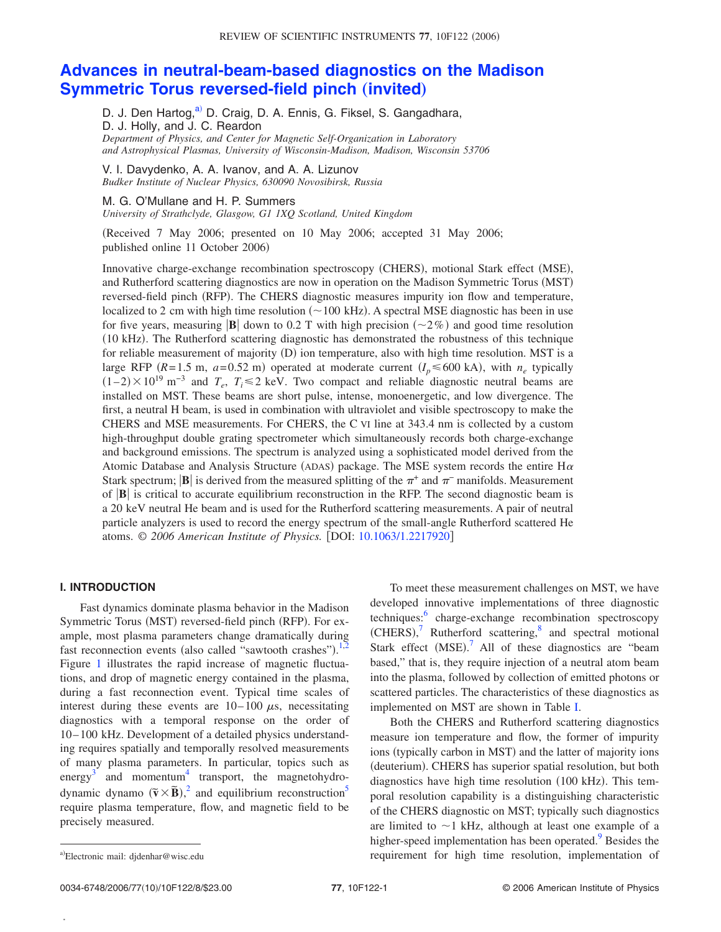# **[Advances in neutral-beam-based diagnostics on the Madison](http://dx.doi.org/10.1063/1.2217920) [Symmetric Torus reversed-field pinch](http://dx.doi.org/10.1063/1.2217920) (invited)**

D. J. Den Hartog,<sup>a)</sup> D. Craig, D. A. Ennis, G. Fiksel, S. Gangadhara, D. J. Holly, and J. C. Reardon *Department of Physics, and Center for Magnetic Self-Organization in Laboratory and Astrophysical Plasmas, University of Wisconsin-Madison, Madison, Wisconsin 53706*

V. I. Davydenko, A. A. Ivanov, and A. A. Lizunov *Budker Institute of Nuclear Physics, 630090 Novosibirsk, Russia*

### M. G. O'Mullane and H. P. Summers

*University of Strathclyde, Glasgow, G1 1XQ Scotland, United Kingdom*

!Received 7 May 2006; presented on 10 May 2006; accepted 31 May 2006; published online 11 October 2006)

Innovative charge-exchange recombination spectroscopy (CHERS), motional Stark effect (MSE), and Rutherford scattering diagnostics are now in operation on the Madison Symmetric Torus (MST) reversed-field pinch (RFP). The CHERS diagnostic measures impurity ion flow and temperature, localized to 2 cm with high time resolution  $(\sim 100 \text{ kHz})$ . A spectral MSE diagnostic has been in use for five years, measuring  $|\mathbf{B}|$  down to 0.2 T with high precision  $(\sim 2\%)$  and good time resolution !10 kHz". The Rutherford scattering diagnostic has demonstrated the robustness of this technique for reliable measurement of majority  $(D)$  ion temperature, also with high time resolution. MST is a large RFP  $(R=1.5 \text{ m}, a=0.52 \text{ m})$  operated at moderate current  $(I_p \le 600 \text{ kA})$ , with  $n_e$  typically  $(1–2) \times 10^{19}$  m<sup>-3</sup> and  $T_e$ ,  $T_i \le 2$  keV. Two compact and reliable diagnostic neutral beams are installed on MST. These beams are short pulse, intense, monoenergetic, and low divergence. The first, a neutral H beam, is used in combination with ultraviolet and visible spectroscopy to make the CHERS and MSE measurements. For CHERS, the C VI line at 343.4 nm is collected by a custom high-throughput double grating spectrometer which simultaneously records both charge-exchange and background emissions. The spectrum is analyzed using a sophisticated model derived from the Atomic Database and Analysis Structure (ADAS) package. The MSE system records the entire  $H\alpha$ Stark spectrum;  $\bf{B}$  is derived from the measured splitting of the  $\pi^+$  and  $\pi^-$  manifolds. Measurement of  $|\mathbf{B}|$  is critical to accurate equilibrium reconstruction in the RFP. The second diagnostic beam is a 20 keV neutral He beam and is used for the Rutherford scattering measurements. A pair of neutral particle analyzers is used to record the energy spectrum of the small-angle Rutherford scattered He atoms. © 2006 American Institute of Physics. [DOI: [10.1063/1.2217920](http://dx.doi.org/10.1063/1.2217920)]

#### **I. INTRODUCTION**

Fast dynamics dominate plasma behavior in the Madison Symmetric Torus (MST) reversed-field pinch (RFP). For example, most plasma parameters change dramatically during fast reconnection events (also called "sawtooth crashes").<sup>[1](#page-7-1)[,2](#page-7-2)</sup> Figure [1](#page-1-0) illustrates the rapid increase of magnetic fluctuations, and drop of magnetic energy contained in the plasma, during a fast reconnection event. Typical time scales of interest during these events are  $10-100 \mu s$ , necessitating diagnostics with a temporal response on the order of 10– 100 kHz. Development of a detailed physics understanding requires spatially and temporally resolved measurements of many plasma parameters. In particular, topics such as energy<sup>[3](#page-7-3)</sup> and momentum<sup>4</sup> transport, the magnetohydrodynamic dynamo  $(\tilde{v} \times \tilde{B})$ ,<sup>[2](#page-7-2)</sup> and equilibrium reconstruction<sup>5</sup> require plasma temperature, flow, and magnetic field to be precisely measured.

To meet these measurement challenges on MST, we have developed innovative implementations of three diagnostic techniques:<sup>6</sup> charge-exchange recombination spectroscopy  $(CHERS),<sup>7</sup>$  $(CHERS),<sup>7</sup>$  $(CHERS),<sup>7</sup>$  Rutherford scattering, $<sup>8</sup>$  $<sup>8</sup>$  $<sup>8</sup>$  and spectral motional</sup> Stark effect  $(MSE)$ .<sup>[7](#page-7-7)</sup> All of these diagnostics are "beam based," that is, they require injection of a neutral atom beam into the plasma, followed by collection of emitted photons or scattered particles. The characteristics of these diagnostics as implemented on MST are shown in Table [I.](#page-1-1)

Both the CHERS and Rutherford scattering diagnostics measure ion temperature and flow, the former of impurity ions (typically carbon in MST) and the latter of majority ions (deuterium). CHERS has superior spatial resolution, but both diagnostics have high time resolution  $(100 \text{ kHz})$ . This temporal resolution capability is a distinguishing characteristic of the CHERS diagnostic on MST; typically such diagnostics are limited to  $\sim$ 1 kHz, although at least one example of a higher-speed implementation has been operated.<sup>9</sup> Besides the requirement for high time resolution, implementation of

**.**

<span id="page-0-0"></span>a)Electronic mail: djdenhar@wisc.edu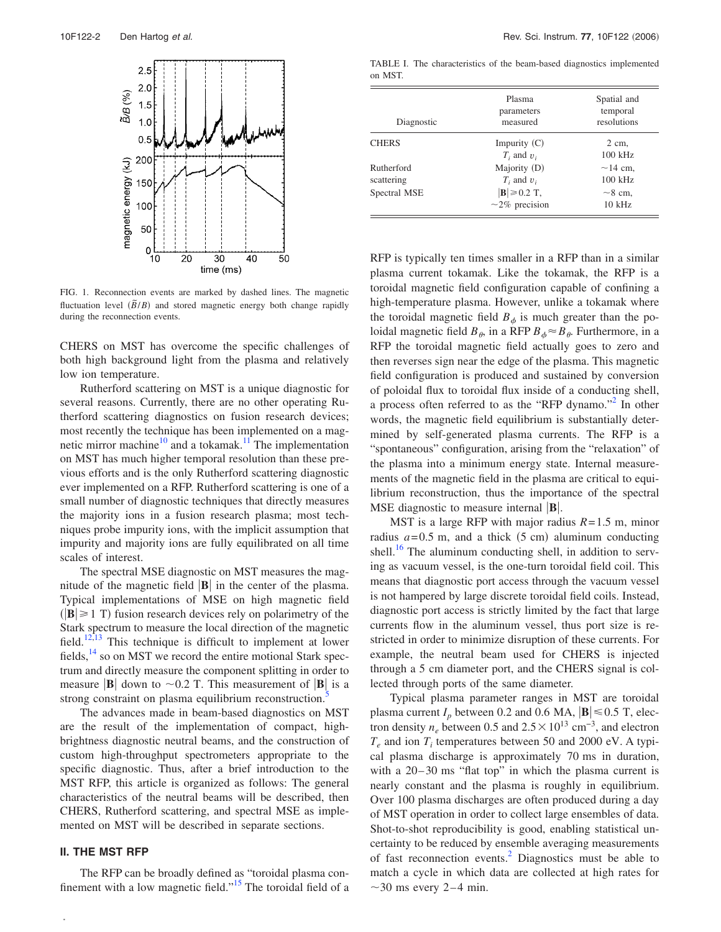<span id="page-1-0"></span>

FIG. 1. Reconnection events are marked by dashed lines. The magnetic fluctuation level  $(\widetilde{B}/B)$  and stored magnetic energy both change rapidly during the reconnection events.

CHERS on MST has overcome the specific challenges of both high background light from the plasma and relatively low ion temperature.

Rutherford scattering on MST is a unique diagnostic for several reasons. Currently, there are no other operating Rutherford scattering diagnostics on fusion research devices; most recently the technique has been implemented on a mag-netic mirror machine<sup>[10](#page-7-9)</sup> and a tokamak.<sup>[11](#page-7-10)</sup> The implementation on MST has much higher temporal resolution than these previous efforts and is the only Rutherford scattering diagnostic ever implemented on a RFP. Rutherford scattering is one of a small number of diagnostic techniques that directly measures the majority ions in a fusion research plasma; most techniques probe impurity ions, with the implicit assumption that impurity and majority ions are fully equilibrated on all time scales of interest.

The spectral MSE diagnostic on MST measures the magnitude of the magnetic field  $|\mathbf{B}|$  in the center of the plasma. Typical implementations of MSE on high magnetic field  $(|\mathbf{B}| \ge 1 \text{ T})$  fusion research devices rely on polarimetry of the Stark spectrum to measure the local direction of the magnetic field.<sup>[12](#page-7-11)[,13](#page-7-12)</sup> This technique is difficult to implement at lower fields,  $^{14}$  so on MST we record the entire motional Stark spectrum and directly measure the component splitting in order to measure  $|\mathbf{B}|$  down to  $\sim 0.2$  T. This measurement of  $|\mathbf{B}|$  is a strong constraint on plasma equilibrium reconstruction.

The advances made in beam-based diagnostics on MST are the result of the implementation of compact, highbrightness diagnostic neutral beams, and the construction of custom high-throughput spectrometers appropriate to the specific diagnostic. Thus, after a brief introduction to the MST RFP, this article is organized as follows: The general characteristics of the neutral beams will be described, then CHERS, Rutherford scattering, and spectral MSE as implemented on MST will be described in separate sections.

#### **II. THE MST RFP**

**.**

The RFP can be broadly defined as "toroidal plasma confinement with a low magnetic field."<sup>15</sup> The toroidal field of a

<span id="page-1-1"></span>TABLE I. The characteristics of the beam-based diagnostics implemented on MST.

| Diagnostic               | Plasma<br>parameters<br>measured                  | Spatial and<br>temporal<br>resolutions |
|--------------------------|---------------------------------------------------|----------------------------------------|
| <b>CHERS</b>             | Impurity $(C)$<br>$T_i$ and $v_i$                 | $2 \text{ cm}$ ,<br>$100$ kHz          |
| Rutherford<br>scattering | Majority (D)<br>$T_i$ and $v_i$                   | $\sim$ 14 cm.<br>$100$ kHz             |
| Spectral MSE             | $ \mathbf{B}  \geq 0.2$ T,<br>$\sim$ 2% precision | $\sim$ 8 cm.<br>$10$ kHz               |

RFP is typically ten times smaller in a RFP than in a similar plasma current tokamak. Like the tokamak, the RFP is a toroidal magnetic field configuration capable of confining a high-temperature plasma. However, unlike a tokamak where the toroidal magnetic field  $B_{\phi}$  is much greater than the poloidal magnetic field  $B_{\theta}$ , in a RFP  $B_{\phi} \approx B_{\theta}$ . Furthermore, in a RFP the toroidal magnetic field actually goes to zero and then reverses sign near the edge of the plasma. This magnetic field configuration is produced and sustained by conversion of poloidal flux to toroidal flux inside of a conducting shell, a process often referred to as the "RFP dynamo.["2](#page-7-2) In other words, the magnetic field equilibrium is substantially determined by self-generated plasma currents. The RFP is a "spontaneous" configuration, arising from the "relaxation" of the plasma into a minimum energy state. Internal measurements of the magnetic field in the plasma are critical to equilibrium reconstruction, thus the importance of the spectral MSE diagnostic to measure internal **.** 

MST is a large RFP with major radius *R*= 1.5 m, minor radius  $a = 0.5$  m, and a thick  $(5 \text{ cm})$  aluminum conducting shell.<sup>16</sup> The aluminum conducting shell, in addition to serving as vacuum vessel, is the one-turn toroidal field coil. This means that diagnostic port access through the vacuum vessel is not hampered by large discrete toroidal field coils. Instead, diagnostic port access is strictly limited by the fact that large currents flow in the aluminum vessel, thus port size is restricted in order to minimize disruption of these currents. For example, the neutral beam used for CHERS is injected through a 5 cm diameter port, and the CHERS signal is collected through ports of the same diameter.

Typical plasma parameter ranges in MST are toroidal plasma current  $I_p$  between 0.2 and 0.6 MA,  $|\mathbf{B}| \le 0.5$  T, electron density  $n_e$  between 0.5 and  $2.5 \times 10^{13}$  cm<sup>-3</sup>, and electron  $T_e$  and ion  $T_i$  temperatures between 50 and 2000 eV. A typical plasma discharge is approximately 70 ms in duration, with a  $20-30$  ms "flat top" in which the plasma current is nearly constant and the plasma is roughly in equilibrium. Over 100 plasma discharges are often produced during a day of MST operation in order to collect large ensembles of data. Shot-to-shot reproducibility is good, enabling statistical uncertainty to be reduced by ensemble averaging measurements of fast reconnection events.<sup>2</sup> Diagnostics must be able to match a cycle in which data are collected at high rates for  $\sim$ 30 ms every 2-4 min.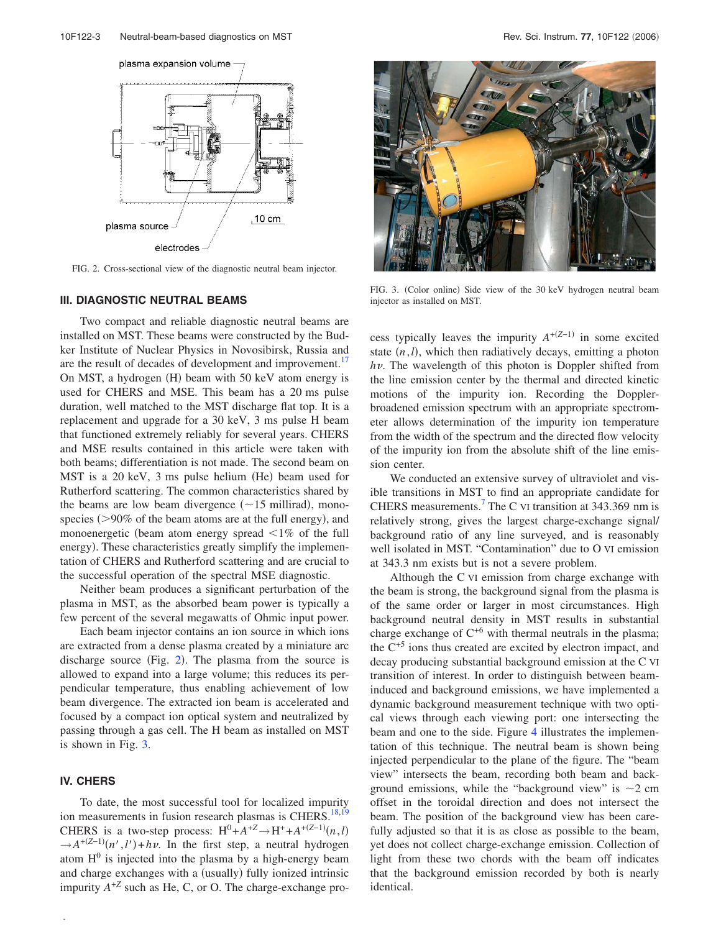<span id="page-2-0"></span>

FIG. 2. Cross-sectional view of the diagnostic neutral beam injector.

#### **III. DIAGNOSTIC NEUTRAL BEAMS**

Two compact and reliable diagnostic neutral beams are installed on MST. These beams were constructed by the Budker Institute of Nuclear Physics in Novosibirsk, Russia and are the result of decades of development and improvement.<sup>[17](#page-7-16)</sup> On MST, a hydrogen  $(H)$  beam with 50 keV atom energy is used for CHERS and MSE. This beam has a 20 ms pulse duration, well matched to the MST discharge flat top. It is a replacement and upgrade for a 30 keV, 3 ms pulse H beam that functioned extremely reliably for several years. CHERS and MSE results contained in this article were taken with both beams; differentiation is not made. The second beam on  $MST$  is a 20 keV, 3 ms pulse helium (He) beam used for Rutherford scattering. The common characteristics shared by the beams are low beam divergence  $(\sim 15$  millirad), monospecies  $(>\!\!>90\%$  of the beam atoms are at the full energy), and monoenergetic (beam atom energy spread  $\leq 1\%$  of the full energy). These characteristics greatly simplify the implementation of CHERS and Rutherford scattering and are crucial to the successful operation of the spectral MSE diagnostic.

Neither beam produces a significant perturbation of the plasma in MST, as the absorbed beam power is typically a few percent of the several megawatts of Ohmic input power.

Each beam injector contains an ion source in which ions are extracted from a dense plasma created by a miniature arc discharge source (Fig.  $2$ ). The plasma from the source is allowed to expand into a large volume; this reduces its perpendicular temperature, thus enabling achievement of low beam divergence. The extracted ion beam is accelerated and focused by a compact ion optical system and neutralized by passing through a gas cell. The H beam as installed on MST is shown in Fig. [3.](#page-2-1)

# **IV. CHERS**

**.**

To date, the most successful tool for localized impurity ion measurements in fusion research plasmas is CHERS.<sup>18,[19](#page-7-18)</sup> CHERS is a two-step process:  $H^0 + A^{+Z} \rightarrow H^+ + A^{+(Z-1)}(n, l)$  $\rightarrow$ *A*<sup>+(Z-1)</sup>(*n'*,*l'*)+*h* $\nu$ . In the first step, a neutral hydrogen atom  $H^0$  is injected into the plasma by a high-energy beam and charge exchanges with a (usually) fully ionized intrinsic impurity  $A^{+Z}$  such as He, C, or O. The charge-exchange pro-

<span id="page-2-1"></span>

FIG. 3. (Color online) Side view of the 30 keV hydrogen neutral beam injector as installed on MST.

cess typically leaves the impurity  $A^{+(Z-1)}$  in some excited state  $(n, l)$ , which then radiatively decays, emitting a photon *hv*. The wavelength of this photon is Doppler shifted from the line emission center by the thermal and directed kinetic motions of the impurity ion. Recording the Dopplerbroadened emission spectrum with an appropriate spectrometer allows determination of the impurity ion temperature from the width of the spectrum and the directed flow velocity of the impurity ion from the absolute shift of the line emission center.

We conducted an extensive survey of ultraviolet and visible transitions in MST to find an appropriate candidate for CHERS measurements.<sup>[7](#page-7-7)</sup> The C VI transition at  $343.369$  nm is relatively strong, gives the largest charge-exchange signal/ background ratio of any line surveyed, and is reasonably well isolated in MST. "Contamination" due to O VI emission at 343.3 nm exists but is not a severe problem.

Although the C VI emission from charge exchange with the beam is strong, the background signal from the plasma is of the same order or larger in most circumstances. High background neutral density in MST results in substantial charge exchange of  $C^{+6}$  with thermal neutrals in the plasma; the  $C^{+5}$  ions thus created are excited by electron impact, and decay producing substantial background emission at the C VI transition of interest. In order to distinguish between beaminduced and background emissions, we have implemented a dynamic background measurement technique with two optical views through each viewing port: one intersecting the beam and one to the side. Figure [4](#page-3-0) illustrates the implementation of this technique. The neutral beam is shown being injected perpendicular to the plane of the figure. The "beam view" intersects the beam, recording both beam and background emissions, while the "background view" is  $\sim$ 2 cm offset in the toroidal direction and does not intersect the beam. The position of the background view has been carefully adjusted so that it is as close as possible to the beam, yet does not collect charge-exchange emission. Collection of light from these two chords with the beam off indicates that the background emission recorded by both is nearly identical.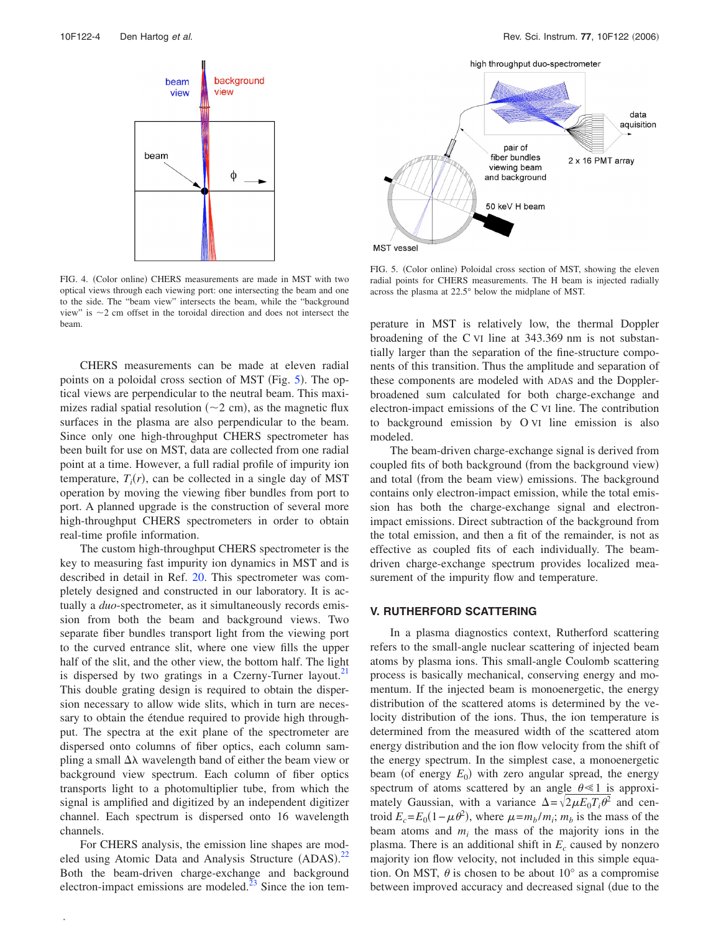<span id="page-3-0"></span>

FIG. 4. (Color online) CHERS measurements are made in MST with two optical views through each viewing port: one intersecting the beam and one to the side. The "beam view" intersects the beam, while the "background view" is  $\sim$ 2 cm offset in the toroidal direction and does not intersect the beam.

CHERS measurements can be made at eleven radial points on a poloidal cross section of MST (Fig.  $5$ ). The optical views are perpendicular to the neutral beam. This maximizes radial spatial resolution  $(\sim 2 \text{ cm})$ , as the magnetic flux surfaces in the plasma are also perpendicular to the beam. Since only one high-throughput CHERS spectrometer has been built for use on MST, data are collected from one radial point at a time. However, a full radial profile of impurity ion temperature,  $T_i(r)$ , can be collected in a single day of MST operation by moving the viewing fiber bundles from port to port. A planned upgrade is the construction of several more high-throughput CHERS spectrometers in order to obtain real-time profile information.

The custom high-throughput CHERS spectrometer is the key to measuring fast impurity ion dynamics in MST and is described in detail in Ref. [20.](#page-7-20) This spectrometer was completely designed and constructed in our laboratory. It is actually a *duo*-spectrometer, as it simultaneously records emission from both the beam and background views. Two separate fiber bundles transport light from the viewing port to the curved entrance slit, where one view fills the upper half of the slit, and the other view, the bottom half. The light is dispersed by two gratings in a Czerny-Turner layout. $21$ This double grating design is required to obtain the dispersion necessary to allow wide slits, which in turn are necessary to obtain the étendue required to provide high throughput. The spectra at the exit plane of the spectrometer are dispersed onto columns of fiber optics, each column sampling a small  $\Delta\lambda$  wavelength band of either the beam view or background view spectrum. Each column of fiber optics transports light to a photomultiplier tube, from which the signal is amplified and digitized by an independent digitizer channel. Each spectrum is dispersed onto 16 wavelength channels.

For CHERS analysis, the emission line shapes are modeled using Atomic Data and Analysis Structure (ADAS).<sup>22</sup> Both the beam-driven charge-exchange and background electron-impact emissions are modeled. $^{23}$  Since the ion tem-

**.**

<span id="page-3-1"></span>

FIG. 5. (Color online) Poloidal cross section of MST, showing the eleven radial points for CHERS measurements. The H beam is injected radially across the plasma at 22.5° below the midplane of MST.

perature in MST is relatively low, the thermal Doppler broadening of the C VI line at 343.369 nm is not substantially larger than the separation of the fine-structure components of this transition. Thus the amplitude and separation of these components are modeled with ADAS and the Dopplerbroadened sum calculated for both charge-exchange and electron-impact emissions of the C VI line. The contribution to background emission by O VI line emission is also modeled.

The beam-driven charge-exchange signal is derived from coupled fits of both background (from the background view) and total (from the beam view) emissions. The background contains only electron-impact emission, while the total emission has both the charge-exchange signal and electronimpact emissions. Direct subtraction of the background from the total emission, and then a fit of the remainder, is not as effective as coupled fits of each individually. The beamdriven charge-exchange spectrum provides localized measurement of the impurity flow and temperature.

# **V. RUTHERFORD SCATTERING**

In a plasma diagnostics context, Rutherford scattering refers to the small-angle nuclear scattering of injected beam atoms by plasma ions. This small-angle Coulomb scattering process is basically mechanical, conserving energy and momentum. If the injected beam is monoenergetic, the energy distribution of the scattered atoms is determined by the velocity distribution of the ions. Thus, the ion temperature is determined from the measured width of the scattered atom energy distribution and the ion flow velocity from the shift of the energy spectrum. In the simplest case, a monoenergetic beam (of energy  $E_0$ ) with zero angular spread, the energy spectrum of atoms scattered by an angle  $\theta \le 1$  is approximately Gaussian, with a variance  $\Delta = \sqrt{2 \mu E_0 T_i \theta^2}$  and centroid  $E_c = E_0(1 - \mu \theta^2)$ , where  $\mu = m_b/m_i$ ;  $m_b$  is the mass of the beam atoms and  $m_i$  the mass of the majority ions in the plasma. There is an additional shift in  $E_c$  caused by nonzero majority ion flow velocity, not included in this simple equation. On MST,  $\theta$  is chosen to be about 10 $\degree$  as a compromise between improved accuracy and decreased signal (due to the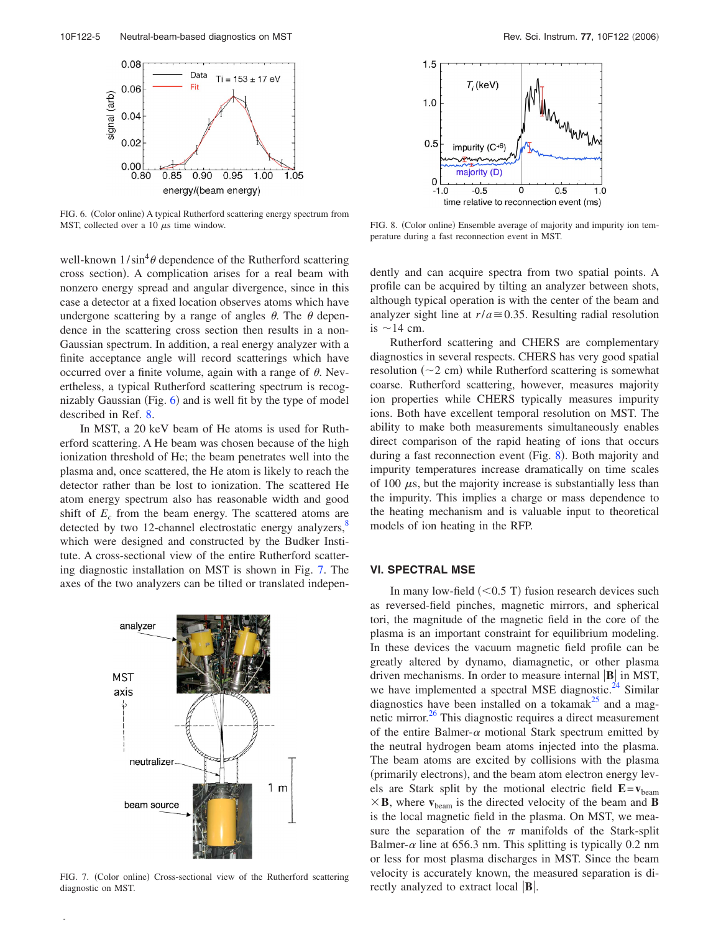<span id="page-4-0"></span>

FIG. 6. (Color online) A typical Rutherford scattering energy spectrum from MST, collected over a 10  $\mu$ s time window.

well-known  $1/\sin^4\theta$  dependence of the Rutherford scattering cross section). A complication arises for a real beam with nonzero energy spread and angular divergence, since in this case a detector at a fixed location observes atoms which have undergone scattering by a range of angles  $\theta$ . The  $\theta$  dependence in the scattering cross section then results in a non-Gaussian spectrum. In addition, a real energy analyzer with a finite acceptance angle will record scatterings which have occurred over a finite volume, again with a range of  $\theta$ . Nevertheless, a typical Rutherford scattering spectrum is recognizably Gaussian  $(Fig. 6)$  $(Fig. 6)$  $(Fig. 6)$  and is well fit by the type of model described in Ref. [8.](#page-7-8)

In MST, a 20 keV beam of He atoms is used for Rutherford scattering. A He beam was chosen because of the high ionization threshold of He; the beam penetrates well into the plasma and, once scattered, the He atom is likely to reach the detector rather than be lost to ionization. The scattered He atom energy spectrum also has reasonable width and good shift of  $E_c$  from the beam energy. The scattered atoms are detected by two 12-channel electrostatic energy analyzers,<sup>[8](#page-7-8)</sup> which were designed and constructed by the Budker Institute. A cross-sectional view of the entire Rutherford scattering diagnostic installation on MST is shown in Fig. [7.](#page-4-1) The axes of the two analyzers can be tilted or translated indepen-

<span id="page-4-1"></span>

FIG. 7. (Color online) Cross-sectional view of the Rutherford scattering diagnostic on MST.

**.**

<span id="page-4-2"></span>

FIG. 8. (Color online) Ensemble average of majority and impurity ion temperature during a fast reconnection event in MST.

dently and can acquire spectra from two spatial points. A profile can be acquired by tilting an analyzer between shots, although typical operation is with the center of the beam and analyzer sight line at  $r/a \approx 0.35$ . Resulting radial resolution is  $\sim$  14 cm.

Rutherford scattering and CHERS are complementary diagnostics in several respects. CHERS has very good spatial resolution  $(\sim 2 \text{ cm})$  while Rutherford scattering is somewhat coarse. Rutherford scattering, however, measures majority ion properties while CHERS typically measures impurity ions. Both have excellent temporal resolution on MST. The ability to make both measurements simultaneously enables direct comparison of the rapid heating of ions that occurs during a fast reconnection event (Fig.  $8$ ). Both majority and impurity temperatures increase dramatically on time scales of 100  $\mu$ s, but the majority increase is substantially less than the impurity. This implies a charge or mass dependence to the heating mechanism and is valuable input to theoretical models of ion heating in the RFP.

# **VI. SPECTRAL MSE**

In many low-field  $(< 0.5$  T) fusion research devices such as reversed-field pinches, magnetic mirrors, and spherical tori, the magnitude of the magnetic field in the core of the plasma is an important constraint for equilibrium modeling. In these devices the vacuum magnetic field profile can be greatly altered by dynamo, diamagnetic, or other plasma driven mechanisms. In order to measure internal  $|\mathbf{B}|$  in MST, we have implemented a spectral MSE diagnostic. $^{24}$  $^{24}$  $^{24}$  Similar diagnostics have been installed on a tokamak $^{25}$  $^{25}$  $^{25}$  and a magnetic mirror. $^{26}$  This diagnostic requires a direct measurement of the entire Balmer- $\alpha$  motional Stark spectrum emitted by the neutral hydrogen beam atoms injected into the plasma. The beam atoms are excited by collisions with the plasma (primarily electrons), and the beam atom electron energy levels are Stark split by the motional electric field **E**=**v**beam  $\times$  **B**, where  $\mathbf{v}_{\text{beam}}$  is the directed velocity of the beam and **B** is the local magnetic field in the plasma. On MST, we measure the separation of the  $\pi$  manifolds of the Stark-split Balmer- $\alpha$  line at 656.3 nm. This splitting is typically 0.2 nm or less for most plasma discharges in MST. Since the beam velocity is accurately known, the measured separation is directly analyzed to extract local **.**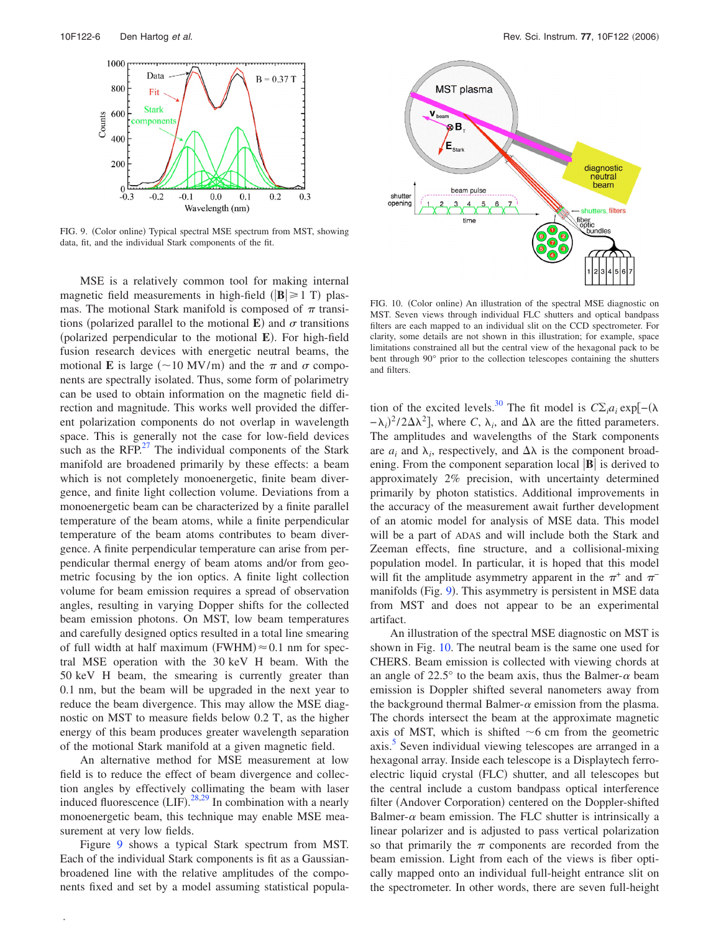<span id="page-5-0"></span>

FIG. 9. (Color online) Typical spectral MSE spectrum from MST, showing data, fit, and the individual Stark components of the fit.

MSE is a relatively common tool for making internal magnetic field measurements in high-field  $(|\mathbf{B}| \ge 1 \text{ T})$  plasmas. The motional Stark manifold is composed of  $\pi$  transitions (polarized parallel to the motional **E**) and  $\sigma$  transitions (polarized perpendicular to the motional **E**). For high-field fusion research devices with energetic neutral beams, the motional **E** is large  $({\sim}10 \text{ MV/m})$  and the  $\pi$  and  $\sigma$  components are spectrally isolated. Thus, some form of polarimetry can be used to obtain information on the magnetic field direction and magnitude. This works well provided the different polarization components do not overlap in wavelength space. This is generally not the case for low-field devices such as the RFP. $^{27}$  The individual components of the Stark manifold are broadened primarily by these effects: a beam which is not completely monoenergetic, finite beam divergence, and finite light collection volume. Deviations from a monoenergetic beam can be characterized by a finite parallel temperature of the beam atoms, while a finite perpendicular temperature of the beam atoms contributes to beam divergence. A finite perpendicular temperature can arise from perpendicular thermal energy of beam atoms and/or from geometric focusing by the ion optics. A finite light collection volume for beam emission requires a spread of observation angles, resulting in varying Dopper shifts for the collected beam emission photons. On MST, low beam temperatures and carefully designed optics resulted in a total line smearing of full width at half maximum (FWHM) $\approx$  0.1 nm for spectral MSE operation with the 30 keV H beam. With the 50 keV H beam, the smearing is currently greater than 0.1 nm, but the beam will be upgraded in the next year to reduce the beam divergence. This may allow the MSE diagnostic on MST to measure fields below 0.2 T, as the higher energy of this beam produces greater wavelength separation of the motional Stark manifold at a given magnetic field.

An alternative method for MSE measurement at low field is to reduce the effect of beam divergence and collection angles by effectively collimating the beam with laser induced fluorescence  $(LIF)$ . <sup>[28,](#page-7-26)[29](#page-7-27)</sup> In combination with a nearly monoenergetic beam, this technique may enable MSE measurement at very low fields.

Figure [9](#page-5-0) shows a typical Stark spectrum from MST. Each of the individual Stark components is fit as a Gaussianbroadened line with the relative amplitudes of the components fixed and set by a model assuming statistical popula-

**.**

<span id="page-5-1"></span>

FIG. 10. (Color online) An illustration of the spectral MSE diagnostic on MST. Seven views through individual FLC shutters and optical bandpass filters are each mapped to an individual slit on the CCD spectrometer. For clarity, some details are not shown in this illustration; for example, space limitations constrained all but the central view of the hexagonal pack to be bent through 90° prior to the collection telescopes containing the shutters and filters.

tion of the excited levels.<sup>[30](#page-7-28)</sup> The fit model is  $C\Sigma_i a_i \exp[-(\lambda$  $(-\lambda_i)^2/2\Delta\lambda^2$ , where *C*,  $\lambda_i$ , and  $\Delta\lambda$  are the fitted parameters. The amplitudes and wavelengths of the Stark components are  $a_i$  and  $\lambda_i$ , respectively, and  $\Delta\lambda$  is the component broadening. From the component separation local  $|\mathbf{B}|$  is derived to approximately 2% precision, with uncertainty determined primarily by photon statistics. Additional improvements in the accuracy of the measurement await further development of an atomic model for analysis of MSE data. This model will be a part of ADAS and will include both the Stark and Zeeman effects, fine structure, and a collisional-mixing population model. In particular, it is hoped that this model will fit the amplitude asymmetry apparent in the  $\pi^+$  and  $\pi^-$ manifolds (Fig. [9](#page-5-0)). This asymmetry is persistent in MSE data from MST and does not appear to be an experimental artifact.

An illustration of the spectral MSE diagnostic on MST is shown in Fig. [10.](#page-5-1) The neutral beam is the same one used for CHERS. Beam emission is collected with viewing chords at an angle of 22.5 $^{\circ}$  to the beam axis, thus the Balmer- $\alpha$  beam emission is Doppler shifted several nanometers away from the background thermal Balmer- $\alpha$  emission from the plasma. The chords intersect the beam at the approximate magnetic axis of MST, which is shifted  $\sim$ 6 cm from the geometric axis.<sup>3</sup> Seven individual viewing telescopes are arranged in a hexagonal array. Inside each telescope is a Displaytech ferroelectric liquid crystal (FLC) shutter, and all telescopes but the central include a custom bandpass optical interference filter (Andover Corporation) centered on the Doppler-shifted Balmer- $\alpha$  beam emission. The FLC shutter is intrinsically a linear polarizer and is adjusted to pass vertical polarization so that primarily the  $\pi$  components are recorded from the beam emission. Light from each of the views is fiber optically mapped onto an individual full-height entrance slit on the spectrometer. In other words, there are seven full-height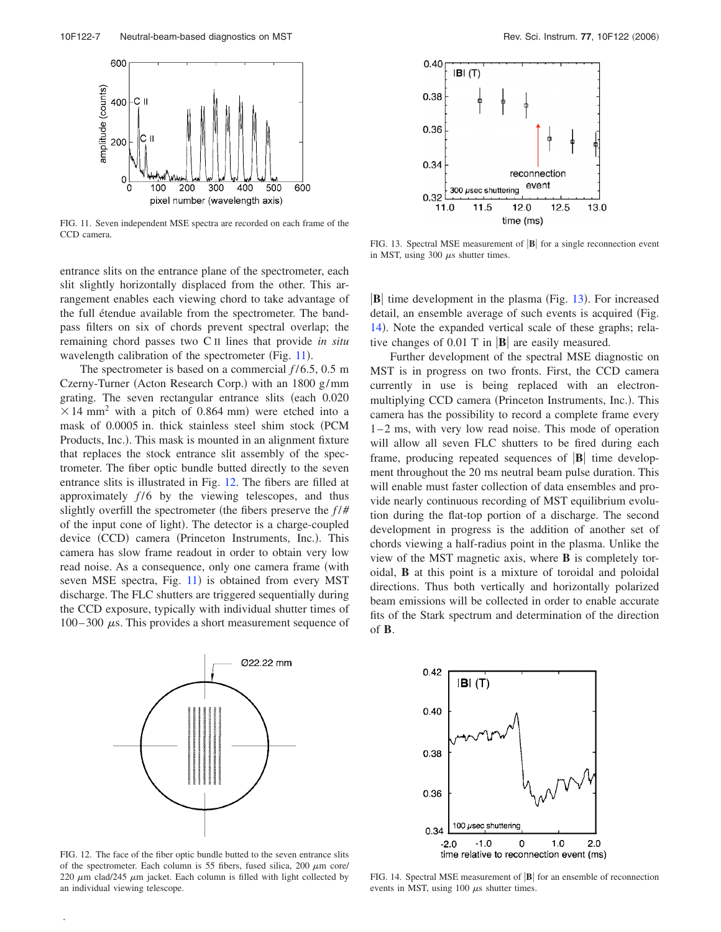<span id="page-6-1"></span>

FIG. 11. Seven independent MSE spectra are recorded on each frame of the CCD camera.

entrance slits on the entrance plane of the spectrometer, each slit slightly horizontally displaced from the other. This arrangement enables each viewing chord to take advantage of the full étendue available from the spectrometer. The bandpass filters on six of chords prevent spectral overlap; the remaining chord passes two C II lines that provide *in situ* wavelength calibration of the spectrometer (Fig.  $11$ ).

The spectrometer is based on a commercial  $f/6.5$ , 0.5 m Czerny-Turner (Acton Research Corp.) with an  $1800$  g/mm grating. The seven rectangular entrance slits (each 0.020  $\times$  14 mm<sup>2</sup> with a pitch of 0.864 mm) were etched into a mask of 0.0005 in. thick stainless steel shim stock (PCM Products, Inc.). This mask is mounted in an alignment fixture that replaces the stock entrance slit assembly of the spectrometer. The fiber optic bundle butted directly to the seven entrance slits is illustrated in Fig. [12.](#page-6-2) The fibers are filled at approximately  $f/6$  by the viewing telescopes, and thus slightly overfill the spectrometer (the fibers preserve the  $f/\#$ of the input cone of light). The detector is a charge-coupled device (CCD) camera (Princeton Instruments, Inc.). This camera has slow frame readout in order to obtain very low read noise. As a consequence, only one camera frame (with seven MSE spectra, Fig. [11](#page-6-1)) is obtained from every MST discharge. The FLC shutters are triggered sequentially during the CCD exposure, typically with individual shutter times of  $100-300 \mu s$ . This provides a short measurement sequence of

<span id="page-6-2"></span>

<span id="page-6-3"></span> $0.40$ 

0.38

 $|B|$   $(T)$ 



FIG. 13. Spectral MSE measurement of  $|\mathbf{B}|$  for a single reconnection event in MST, using 300  $\mu$ s shutter times.

 $|\mathbf{B}|$  time development in the plasma (Fig. [13](#page-6-3)). For increased detail, an ensemble average of such events is acquired (Fig. [14](#page-6-0)). Note the expanded vertical scale of these graphs; relative changes of  $0.01$  T in  $|\mathbf{B}|$  are easily measured.

Further development of the spectral MSE diagnostic on MST is in progress on two fronts. First, the CCD camera currently in use is being replaced with an electronmultiplying CCD camera (Princeton Instruments, Inc.). This camera has the possibility to record a complete frame every  $1 - 2$  ms, with very low read noise. This mode of operation will allow all seven FLC shutters to be fired during each frame, producing repeated sequences of  $|\mathbf{B}|$  time development throughout the 20 ms neutral beam pulse duration. This will enable must faster collection of data ensembles and provide nearly continuous recording of MST equilibrium evolution during the flat-top portion of a discharge. The second development in progress is the addition of another set of chords viewing a half-radius point in the plasma. Unlike the view of the MST magnetic axis, where **B** is completely toroidal, **B** at this point is a mixture of toroidal and poloidal directions. Thus both vertically and horizontally polarized beam emissions will be collected in order to enable accurate fits of the Stark spectrum and determination of the direction of **B**.



**.**

<span id="page-6-0"></span>

FIG. 14. Spectral MSE measurement of  $|\mathbf{B}|$  for an ensemble of reconnection events in MST, using 100  $\mu$ s shutter times.